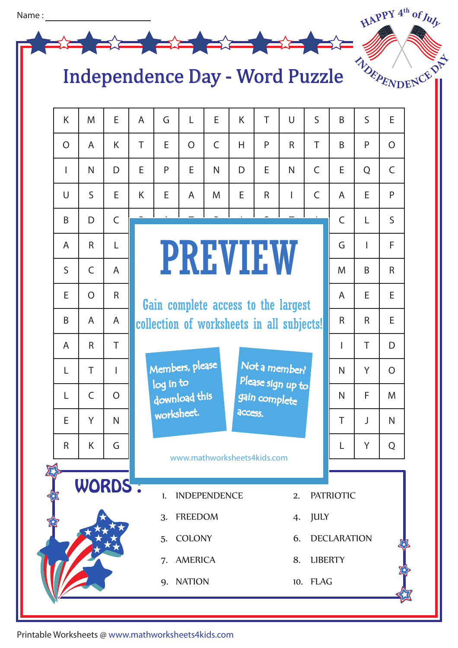

## Independence Day - Word Puzzle

| K              | M                                                    | E              | $\mathsf{A}$                              | G                                                                                                    | L              | E              | K                  | T            | $\cup$       | $\mathsf{S}$     | B              | $\mathsf{S}$   | E              |  |
|----------------|------------------------------------------------------|----------------|-------------------------------------------|------------------------------------------------------------------------------------------------------|----------------|----------------|--------------------|--------------|--------------|------------------|----------------|----------------|----------------|--|
| $\overline{O}$ | $\overline{A}$                                       | K              | T                                         | E                                                                                                    | $\overline{O}$ | $\overline{C}$ | H                  | P            | $\mathsf{R}$ | T                | B              | P              | $\overline{O}$ |  |
| $\overline{1}$ | N                                                    | D              | E                                         | P                                                                                                    | E              | $\mathsf{N}$   | D                  | E            | N            | $\mathsf{C}$     | E              | Q              | $\mathsf{C}$   |  |
| $\cup$         | $\mathsf{S}$                                         | E              | K                                         | E                                                                                                    | $\overline{A}$ | M              | E                  | $\mathsf{R}$ | T            | $\mathsf{C}$     | $\overline{A}$ | E              | P              |  |
| B              | D                                                    | $\mathsf{C}$   |                                           |                                                                                                      |                |                |                    |              |              |                  | $\mathsf{C}$   | L              | $\mathsf{S}$   |  |
| $\mathsf{A}$   | $\mathsf{R}$                                         | L              |                                           | <b>PREVIEW</b>                                                                                       |                |                |                    |              |              |                  |                | $\overline{1}$ | F.             |  |
| S              | $\mathsf{C}$                                         | A              |                                           |                                                                                                      |                |                |                    |              |              |                  |                | B              | $\mathsf{R}$   |  |
| E              | $\overline{O}$                                       | $\mathsf{R}$   |                                           | Gain complete access to the largest                                                                  |                |                |                    |              |              |                  |                | E              | E              |  |
| B              | A                                                    | A              | collection of worksheets in all subjects! |                                                                                                      |                |                |                    |              |              |                  | $\mathsf{R}$   | $\mathsf{R}$   | E              |  |
| A              | $\mathsf{R}$                                         | T              |                                           |                                                                                                      |                |                |                    |              |              |                  | L              | T              | D              |  |
| L              | T                                                    | I              |                                           | Members, please<br>Not a member?<br>Please sign up to<br>log in to<br>download this<br>gain complete |                |                |                    |              |              |                  |                | Y              | $\overline{O}$ |  |
| L              | $\overline{C}$                                       | $\overline{O}$ |                                           |                                                                                                      |                |                |                    |              |              |                  |                | F              | M              |  |
| E              | Y                                                    | $\mathsf{N}$   |                                           | worksheet.<br>access.                                                                                |                |                |                    |              |              |                  |                |                | $\mathsf{N}$   |  |
| R              | K                                                    | G              |                                           | www.mathworksheets4kids.com                                                                          |                |                |                    |              |              |                  |                | Y.             | ${\sf Q}$      |  |
|                |                                                      |                |                                           |                                                                                                      |                |                |                    |              |              |                  |                |                |                |  |
|                | WORDS :<br><b>INDEPENDENCE</b><br>$\mathbf{L}$<br>2. |                |                                           |                                                                                                      |                |                |                    |              |              | <b>PATRIOTIC</b> |                |                |                |  |
|                | <b>FREEDOM</b><br>3.<br>$\overline{4}$               |                |                                           |                                                                                                      |                |                |                    | <b>JULY</b>  |              |                  |                |                |                |  |
|                | <b>COLONY</b>                                        |                |                                           |                                                                                                      | 6.             |                | <b>DECLARATION</b> |              |              |                  |                |                |                |  |
|                |                                                      |                |                                           | <b>AMERICA</b><br>7.                                                                                 |                |                |                    |              |              |                  | <b>LIBERTY</b> |                |                |  |
|                | 9. NATION<br>10. FLAG                                |                |                                           |                                                                                                      |                |                |                    |              |              |                  |                |                |                |  |
|                |                                                      |                |                                           |                                                                                                      |                |                |                    |              |              |                  |                |                |                |  |

Printable Worksheets @ www.mathworksheets4kids.com